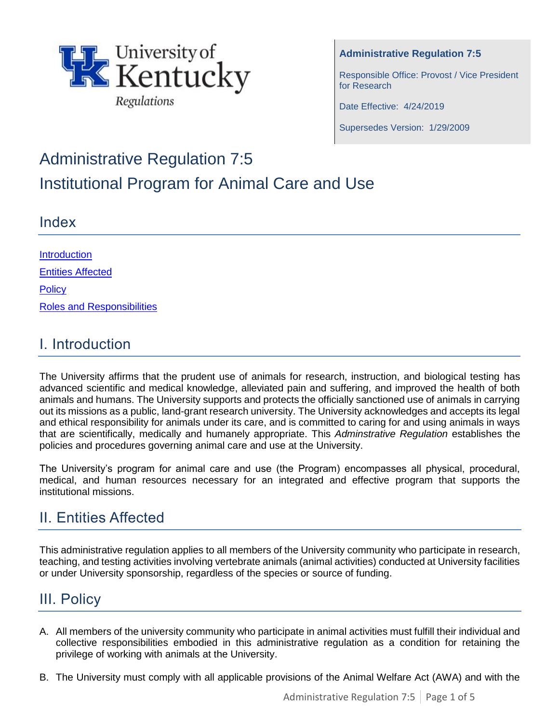

**Administrative Regulation 7:5**

Responsible Office: Provost / Vice President for Research

Date Effective: 4/24/2019

Supersedes Version: 1/29/2009

# Administrative Regulation 7:5 Institutional Program for Animal Care and Use

### Index

| <b>Introduction</b>               |
|-----------------------------------|
| <b>Entities Affected</b>          |
| <b>Policy</b>                     |
| <b>Roles and Responsibilities</b> |

# I. Introduction

The University affirms that the prudent use of animals for research, instruction, and biological testing has advanced scientific and medical knowledge, alleviated pain and suffering, and improved the health of both animals and humans. The University supports and protects the officially sanctioned use of animals in carrying out its missions as a public, land-grant research university. The University acknowledges and accepts its legal and ethical responsibility for animals under its care, and is committed to caring for and using animals in ways that are scientifically, medically and humanely appropriate. This *Adminstrative Regulation* establishes the policies and procedures governing animal care and use at the University.

The University's program for animal care and use (the Program) encompasses all physical, procedural, medical, and human resources necessary for an integrated and effective program that supports the institutional missions.

# <span id="page-0-0"></span>II. Entities Affected

This administrative regulation applies to all members of the University community who participate in research, teaching, and testing activities involving vertebrate animals (animal activities) conducted at University facilities or under University sponsorship, regardless of the species or source of funding.

# <span id="page-0-1"></span>III. Policy

- A. All members of the university community who participate in animal activities must fulfill their individual and collective responsibilities embodied in this administrative regulation as a condition for retaining the privilege of working with animals at the University.
- B. The University must comply with all applicable provisions of the Animal Welfare Act (AWA) and with the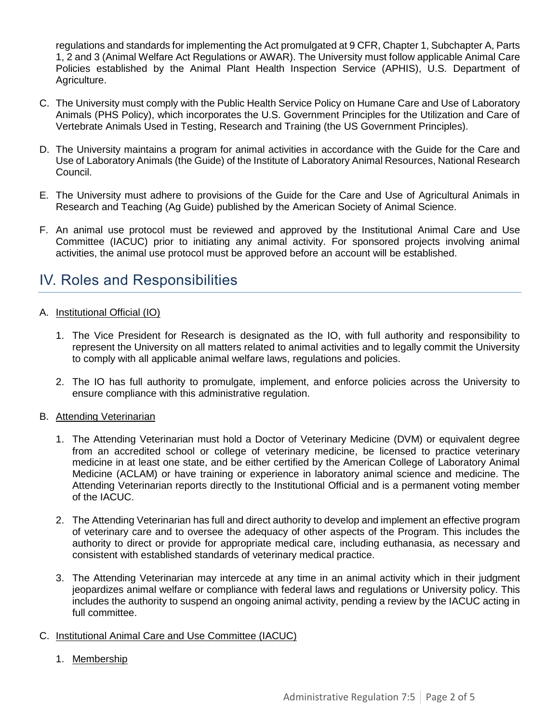regulations and standards for implementing the Act promulgated at 9 CFR, Chapter 1, Subchapter A, Parts 1, 2 and 3 (Animal Welfare Act Regulations or AWAR). The University must follow applicable Animal Care Policies established by the Animal Plant Health Inspection Service (APHIS), U.S. Department of Agriculture.

- C. The University must comply with the Public Health Service Policy on Humane Care and Use of Laboratory Animals (PHS Policy), which incorporates the U.S. Government Principles for the Utilization and Care of Vertebrate Animals Used in Testing, Research and Training (the US Government Principles).
- D. The University maintains a program for animal activities in accordance with the Guide for the Care and Use of Laboratory Animals (the Guide) of the Institute of Laboratory Animal Resources, National Research Council.
- E. The University must adhere to provisions of the Guide for the Care and Use of Agricultural Animals in Research and Teaching (Ag Guide) published by the American Society of Animal Science.
- F. An animal use protocol must be reviewed and approved by the Institutional Animal Care and Use Committee (IACUC) prior to initiating any animal activity. For sponsored projects involving animal activities, the animal use protocol must be approved before an account will be established.

### <span id="page-1-0"></span>IV. Roles and Responsibilities

#### A. Institutional Official (IO)

- 1. The Vice President for Research is designated as the IO, with full authority and responsibility to represent the University on all matters related to animal activities and to legally commit the University to comply with all applicable animal welfare laws, regulations and policies.
- 2. The IO has full authority to promulgate, implement, and enforce policies across the University to ensure compliance with this administrative regulation.

#### B. Attending Veterinarian

- 1. The Attending Veterinarian must hold a Doctor of Veterinary Medicine (DVM) or equivalent degree from an accredited school or college of veterinary medicine, be licensed to practice veterinary medicine in at least one state, and be either certified by the American College of Laboratory Animal Medicine (ACLAM) or have training or experience in laboratory animal science and medicine. The Attending Veterinarian reports directly to the Institutional Official and is a permanent voting member of the IACUC.
- 2. The Attending Veterinarian has full and direct authority to develop and implement an effective program of veterinary care and to oversee the adequacy of other aspects of the Program. This includes the authority to direct or provide for appropriate medical care, including euthanasia, as necessary and consistent with established standards of veterinary medical practice.
- 3. The Attending Veterinarian may intercede at any time in an animal activity which in their judgment jeopardizes animal welfare or compliance with federal laws and regulations or University policy. This includes the authority to suspend an ongoing animal activity, pending a review by the IACUC acting in full committee.

#### C. Institutional Animal Care and Use Committee (IACUC)

1. Membership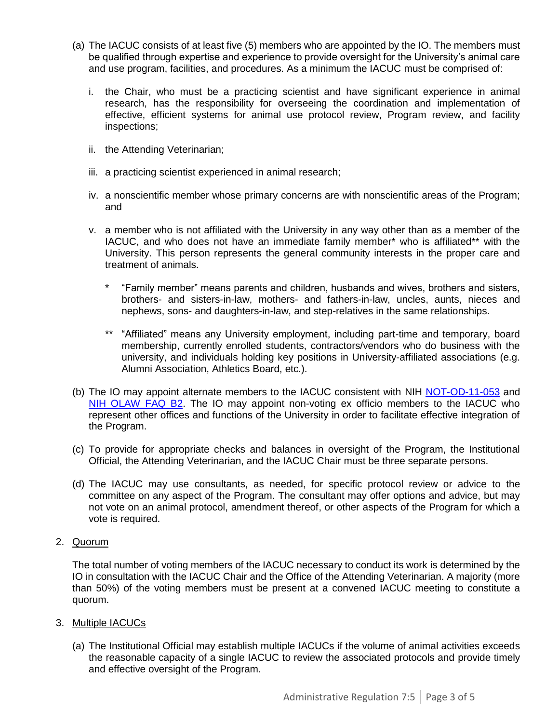- (a) The IACUC consists of at least five (5) members who are appointed by the IO. The members must be qualified through expertise and experience to provide oversight for the University's animal care and use program, facilities, and procedures. As a minimum the IACUC must be comprised of:
	- i. the Chair, who must be a practicing scientist and have significant experience in animal research, has the responsibility for overseeing the coordination and implementation of effective, efficient systems for animal use protocol review, Program review, and facility inspections;
	- ii. the Attending Veterinarian;
	- iii. a practicing scientist experienced in animal research;
	- iv. a nonscientific member whose primary concerns are with nonscientific areas of the Program; and
	- v. a member who is not affiliated with the University in any way other than as a member of the IACUC, and who does not have an immediate family member\* who is affiliated\*\* with the University. This person represents the general community interests in the proper care and treatment of animals.
		- \* "Family member" means parents and children, husbands and wives, brothers and sisters, brothers- and sisters-in-law, mothers- and fathers-in-law, uncles, aunts, nieces and nephews, sons- and daughters-in-law, and step-relatives in the same relationships.
		- \*\* "Affiliated" means any University employment, including part-time and temporary, board membership, currently enrolled students, contractors/vendors who do business with the university, and individuals holding key positions in University-affiliated associations (e.g. Alumni Association, Athletics Board, etc.).
- (b) The IO may appoint alternate members to the IACUC consistent with NIH [NOT-OD-11-053](https://grants.nih.gov/grants/guide/notice-files/NOT-OD-11-053.html) and [NIH OLAW FAQ B2.](https://olaw.nih.gov/guidance/faqs#IACUC_2) The IO may appoint non-voting ex officio members to the IACUC who represent other offices and functions of the University in order to facilitate effective integration of the Program.
- (c) To provide for appropriate checks and balances in oversight of the Program, the Institutional Official, the Attending Veterinarian, and the IACUC Chair must be three separate persons.
- (d) The IACUC may use consultants, as needed, for specific protocol review or advice to the committee on any aspect of the Program. The consultant may offer options and advice, but may not vote on an animal protocol, amendment thereof, or other aspects of the Program for which a vote is required.

#### 2. Quorum

The total number of voting members of the IACUC necessary to conduct its work is determined by the IO in consultation with the IACUC Chair and the Office of the Attending Veterinarian. A majority (more than 50%) of the voting members must be present at a convened IACUC meeting to constitute a quorum.

- 3. Multiple IACUCs
	- (a) The Institutional Official may establish multiple IACUCs if the volume of animal activities exceeds the reasonable capacity of a single IACUC to review the associated protocols and provide timely and effective oversight of the Program.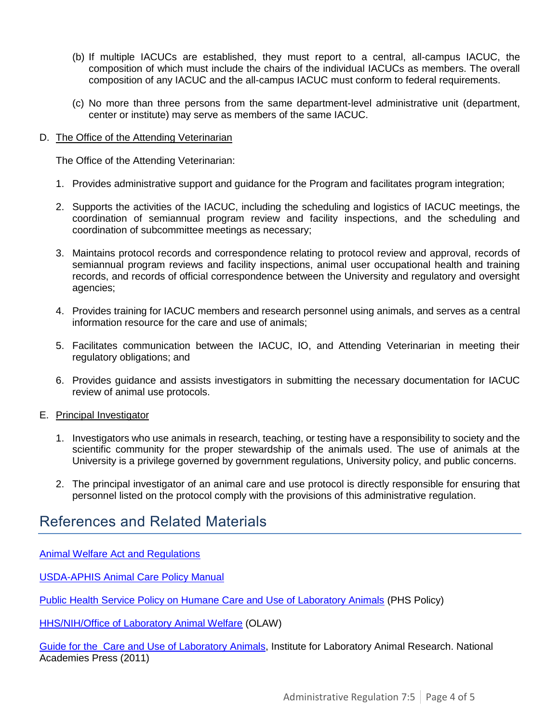- (b) If multiple IACUCs are established, they must report to a central, all-campus IACUC, the composition of which must include the chairs of the individual IACUCs as members. The overall composition of any IACUC and the all-campus IACUC must conform to federal requirements.
- (c) No more than three persons from the same department-level administrative unit (department, center or institute) may serve as members of the same IACUC.
- D. The Office of the Attending Veterinarian

The Office of the Attending Veterinarian:

- 1. Provides administrative support and guidance for the Program and facilitates program integration;
- 2. Supports the activities of the IACUC, including the scheduling and logistics of IACUC meetings, the coordination of semiannual program review and facility inspections, and the scheduling and coordination of subcommittee meetings as necessary;
- 3. Maintains protocol records and correspondence relating to protocol review and approval, records of semiannual program reviews and facility inspections, animal user occupational health and training records, and records of official correspondence between the University and regulatory and oversight agencies;
- 4. Provides training for IACUC members and research personnel using animals, and serves as a central information resource for the care and use of animals;
- 5. Facilitates communication between the IACUC, IO, and Attending Veterinarian in meeting their regulatory obligations; and
- 6. Provides guidance and assists investigators in submitting the necessary documentation for IACUC review of animal use protocols.
- E. Principal Investigator
	- 1. Investigators who use animals in research, teaching, or testing have a responsibility to society and the scientific community for the proper stewardship of the animals used. The use of animals at the University is a privilege governed by government regulations, University policy, and public concerns.
	- 2. The principal investigator of an animal care and use protocol is directly responsible for ensuring that personnel listed on the protocol comply with the provisions of this administrative regulation.

### References and Related Materials

[Animal Welfare Act and Regulations](https://www.aphis.usda.gov/animal_welfare/downloads/AC_BlueBook_AWA_FINAL_2017_508comp.pdf)

[USDA-APHIS Animal Care Policy Manual](https://www.aphis.usda.gov/aphis/ourfocus/animalwelfare/usda-animal-care-overview) 

[Public Health Service Policy on Humane Care and Use of Laboratory Animals](http://grants.nih.gov/grants/olaw/references/PHSPolicyLabAnimals.pdf) (PHS Policy)

[HHS/NIH/Office of Laboratory Animal Welfare](http://grants.nih.gov/grants/olaw/olaw.htm) (OLAW)

[Guide for the Care](https://grants.nih.gov/grants/olaw/guide-for-the-care-and-use-of-laboratory-animals.pdf) and Use of Laboratory Animals, Institute for Laboratory Animal Research. National Academies Press (2011)